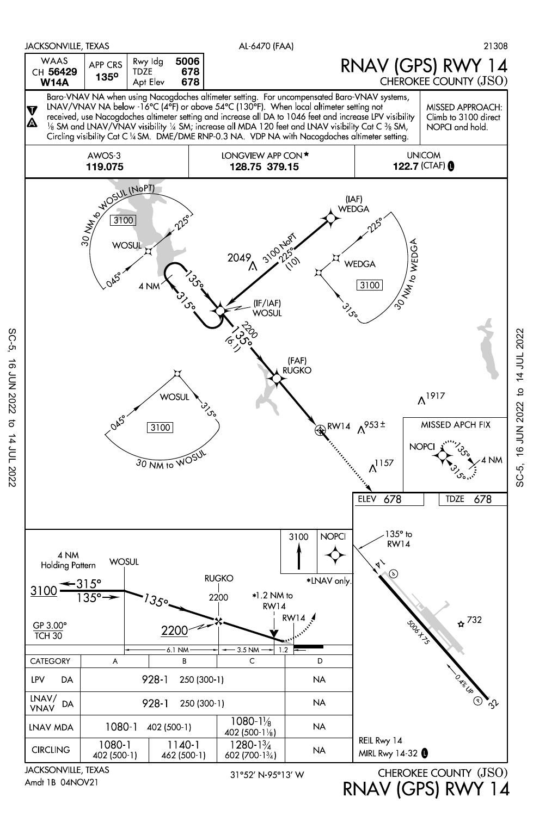

SC-5, 16 JUN 2022 to 14 JUL 2022

 $\sigma$ 

14 JUL 2022

**16 JUN 2022** 

SC-5,

RNAV (GPS) RWY 14

SC-5, 16 JUN 2022 to 14 JUL 2022 SC-5, 16 JUN 2022 to 14 JUL 2022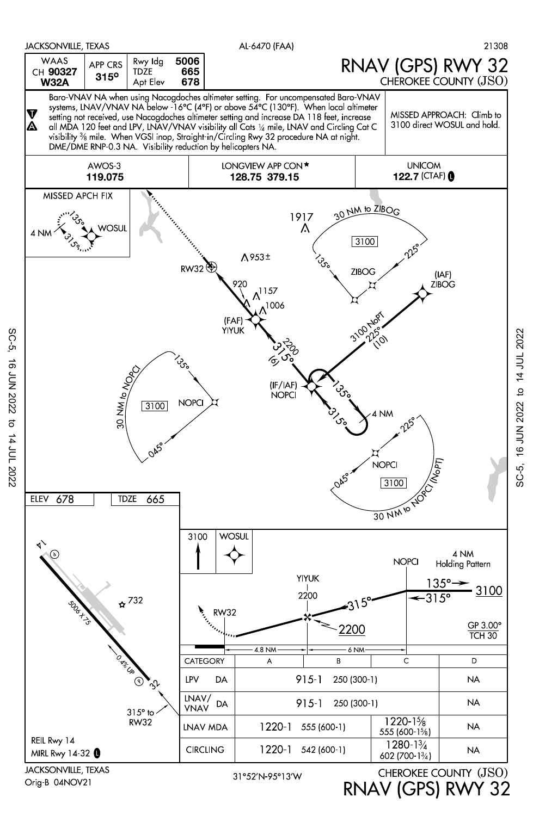

SC-5, 16 JUN 2022 to 14 JUL 2022 **16 JUN 2022**  $\sigma$ 14 JUL 2022

SC-5,

Orig-B 04NOV21

31°52'N-95°13'W

RNAV (GPS) RWY 32

SC-5, 16 JUN 2022 to 14 JUL 2022